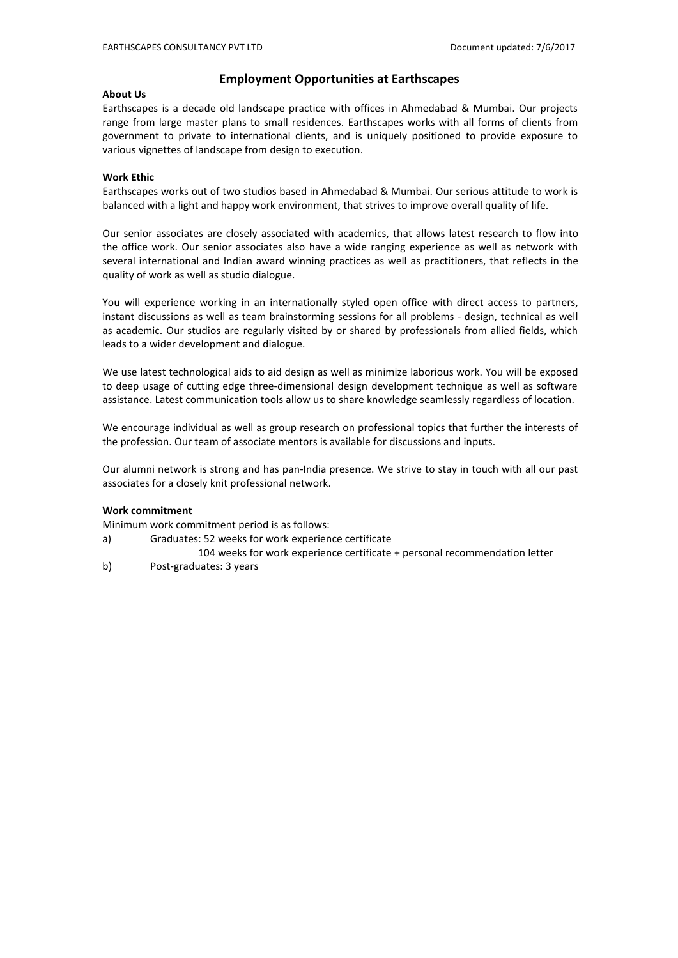# **Employment Opportunities at Earthscapes**

## **About Us**

Earthscapes is a decade old landscape practice with offices in Ahmedabad & Mumbai. Our projects range from large master plans to small residences. Earthscapes works with all forms of clients from government to private to international clients, and is uniquely positioned to provide exposure to various vignettes of landscape from design to execution.

## **Work Ethic**

Earthscapes works out of two studios based in Ahmedabad & Mumbai. Our serious attitude to work is balanced with a light and happy work environment, that strives to improve overall quality of life.

Our senior associates are closely associated with academics, that allows latest research to flow into the office work. Our senior associates also have a wide ranging experience as well as network with several international and Indian award winning practices as well as practitioners, that reflects in the quality of work as well as studio dialogue.

You will experience working in an internationally styled open office with direct access to partners, instant discussions as well as team brainstorming sessions for all problems - design, technical as well as academic. Our studios are regularly visited by or shared by professionals from allied fields, which leads to a wider development and dialogue.

We use latest technological aids to aid design as well as minimize laborious work. You will be exposed to deep usage of cutting edge three-dimensional design development technique as well as software assistance. Latest communication tools allow us to share knowledge seamlessly regardless of location.

We encourage individual as well as group research on professional topics that further the interests of the profession. Our team of associate mentors is available for discussions and inputs.

Our alumni network is strong and has pan-India presence. We strive to stay in touch with all our past associates for a closely knit professional network.

### **Work commitment**

Minimum work commitment period is as follows:

- a) Graduates: 52 weeks for work experience certificate
- 104 weeks for work experience certificate + personal recommendation letter
- b) Post-graduates: 3 years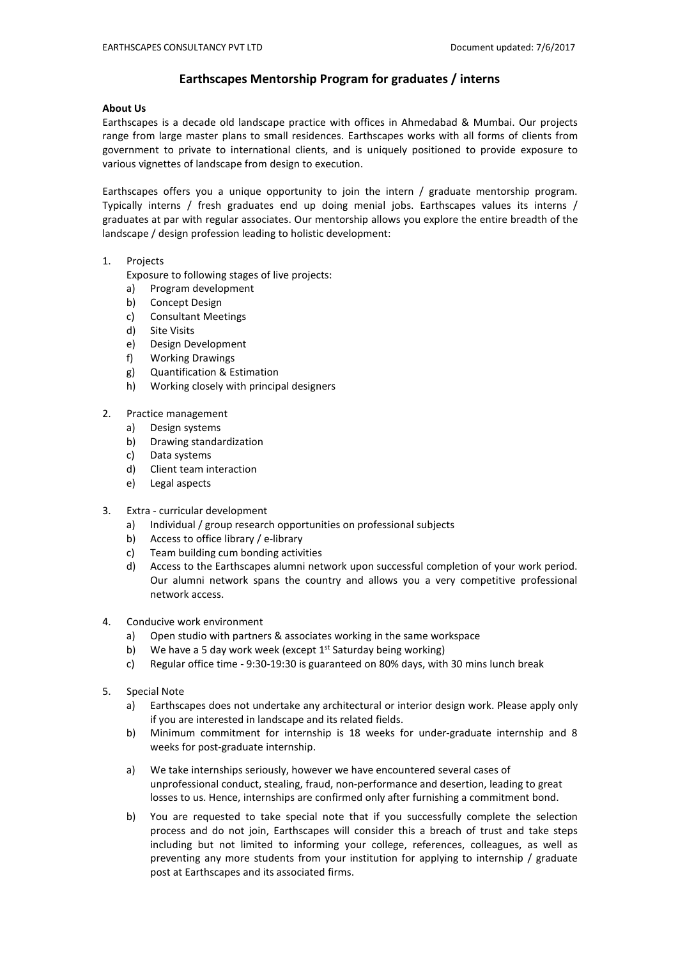# **Earthscapes Mentorship Program for graduates / interns**

### **About Us**

Earthscapes is a decade old landscape practice with offices in Ahmedabad & Mumbai. Our projects range from large master plans to small residences. Earthscapes works with all forms of clients from government to private to international clients, and is uniquely positioned to provide exposure to various vignettes of landscape from design to execution.

Earthscapes offers you a unique opportunity to join the intern / graduate mentorship program. Typically interns / fresh graduates end up doing menial jobs. Earthscapes values its interns / graduates at par with regular associates. Our mentorship allows you explore the entire breadth of the landscape / design profession leading to holistic development:

# 1. Projects

Exposure to following stages of live projects:

- a) Program development
- b) Concept Design
- c) Consultant Meetings
- d) Site Visits
- e) Design Development
- f) Working Drawings
- g) Quantification & Estimation
- h) Working closely with principal designers

# 2. Practice management

- a) Design systems
- b) Drawing standardization
- c) Data systems
- d) Client team interaction
- e) Legal aspects
- 3. Extra curricular development
	- a) Individual / group research opportunities on professional subjects
	- b) Access to office library / e-library
	- c) Team building cum bonding activities
	- d) Access to the Earthscapes alumni network upon successful completion of your work period. Our alumni network spans the country and allows you a very competitive professional network access.
- 4. Conducive work environment
	- a) Open studio with partners & associates working in the same workspace
	- b) We have a 5 day work week (except 1st Saturday being working)
	- c) Regular office time 9:30-19:30 is guaranteed on 80% days, with 30 minslunch break
- 5. Special Note
	- a) Earthscapes does not undertake any architectural or interior design work. Please apply only if you are interested in landscape and its related fields.
	- b) Minimum commitment for internship is 18 weeks for under-graduate internship and 8
- unprofessional conduct, stealing, fraud, non-performance and desertion, leading to great Dot and the protest spans the country and anows you a very competitive protessional<br>network access.<br>The metric of the particle with partners & associates working in the same workspace<br>Regular office time - 9:30-19:30 is gu Conducive work environment<br>
a) Open studio with partners & associates working in the same workspace<br>
b) We have a 5 day work week (except 1<sup>st</sup> Saturday being working)<br>
c) Regular office time - 9:30-19:30 is guaranteed on
- b)<br>
b) Regular office time 9:30-19:30 is guaranteed on 80% days, with 30 mins lunch break<br>
Special Note<br>
a) Earthscapes does not undertake any architectural or interior design work. Please apply only<br>
if you are interest neguar once ome - 3.30-13.30 is guaranceu on 60% days, which so minis interioreak<br>Earthscapes does not undertake any architectural or interior design work. Please apply only<br>If you are interested in landscape and its relat al Note<br>Earthscapes does not undertake any architectural or interior design work. Please apply only<br>If you are interested in landscape and its related fields.<br>Minimum commitment for internship is 18 weeks for under-graduat an vouce there are a previous of Earthscapes does not undertake any architectural or interior design work. Please apply only if you are interrested in landscape and its related fields.<br>Minimum commitment for internship is Earthscapes are shot undertake any achieved and its related fields.<br>
If you are interested in landscape and its related fields.<br>
Minimum commitment for internship is 18 weeks for under-graduate internship a<br>
weeks for post